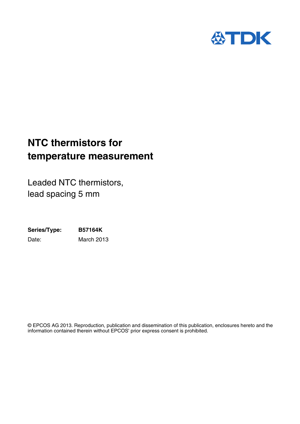

### **NTC thermistors for temperature measurement**

Leaded NTC thermistors, lead spacing 5 mm

**Series/Type: B57164K** Date: March 2013

© EPCOS AG 2013. Reproduction, publication and dissemination of this publication, enclosures hereto and the information contained therein without EPCOS' prior express consent is prohibited.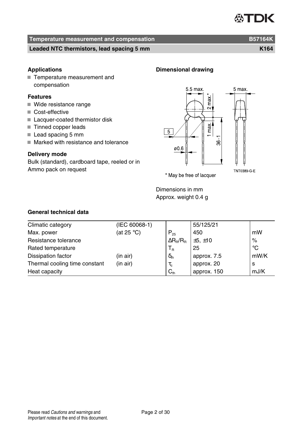## 恐TDK

### **Temperature measurement and compensation B57164K** B57164K

#### **Leaded NTC thermistors, lead spacing 5 mm K164** matrices and the K164

#### **Applications**

■ Temperature measurement and compensation

#### **Features**

- Wide resistance range
- Cost-effective
- Lacquer-coated thermistor disk
- Tinned copper leads
- Lead spacing 5 mm
- Marked with resistance and tolerance

#### **Delivery mode**

Bulk (standard), cardboard tape, reeled or in Ammo pack on request



TNT0389-G-E

\* May be free of lacquer

Dimensions in mm Approx. weight 0.4 g

**Dimensional drawing**

#### **General technical data**

| Climatic category             | (IEC 60068-1)        |                                    | 55/125/21   |      |
|-------------------------------|----------------------|------------------------------------|-------------|------|
| Max. power                    | (at 25 $^{\circ}$ C) | $P_{25}$                           | 450         | mW   |
| Resistance tolerance          |                      | $\Delta R_{\rm B}/R_{\rm B}$       | ±5, ±10     | $\%$ |
| Rated temperature             |                      | $T_{\scriptscriptstyle\mathrm{R}}$ | 25          | °C   |
| Dissipation factor            | (in air)             | $\delta_{\text{th}}$               | approx. 7.5 | mW/K |
| Thermal cooling time constant | (in air)             | $\tau_{\rm c}$                     | approx. 20  | s    |
| Heat capacity                 |                      | $C_{th}$                           | approx. 150 | mJ/K |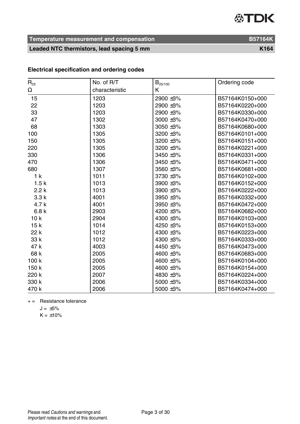**Temperature measurement and compensation B57164K** 

Leaded NTC thermistors, lead spacing 5 mm

|  |  | <b>Electrical specification and ordering codes</b> |  |
|--|--|----------------------------------------------------|--|
|--|--|----------------------------------------------------|--|

| $R_{25}$        | No. of R/T     | $B_{25/100}$   | Ordering code   |
|-----------------|----------------|----------------|-----------------|
| Ω               | characteristic | Κ              |                 |
| 15              | 1203           | 2900 ±3%       | B57164K0150+000 |
| 22              | 1203           | 2900 ±3%       | B57164K0220+000 |
| 33              | 1203           | 2900 ±3%       | B57164K0330+000 |
| 47              | 1302           | $3000 \pm 3\%$ | B57164K0470+000 |
| 68              | 1303           | $3050 + 3%$    | B57164K0680+000 |
| 100             | 1305           | 3200 ±3%       | B57164K0101+000 |
| 150             | 1305           | 3200 ±3%       | B57164K0151+000 |
| 220             | 1305           | 3200 ±3%       | B57164K0221+000 |
| 330             | 1306           | 3450 ±3%       | B57164K0331+000 |
| 470             | 1306           | 3450 ±3%       | B57164K0471+000 |
| 680             | 1307           | 3560 ±3%       | B57164K0681+000 |
| 1 <sub>k</sub>  | 1011           | 3730 ±3%       | B57164K0102+000 |
| 1.5k            | 1013           | 3900 ±3%       | B57164K0152+000 |
| 2.2k            | 1013           | 3900 ±3%       | B57164K0222+000 |
| 3.3k            | 4001           | 3950 ±3%       | B57164K0332+000 |
| 4.7 k           | 4001           | 3950 ±3%       | B57164K0472+000 |
| 6.8k            | 2903           | 4200 ±3%       | B57164K0682+000 |
| 10 <sub>k</sub> | 2904           | 4300 ±3%       | B57164K0103+000 |
| 15k             | 1014           | 4250 ±3%       | B57164K0153+000 |
| 22 k            | 1012           | 4300 ±3%       | B57164K0223+000 |
| 33 k            | 1012           | 4300 ±3%       | B57164K0333+000 |
| 47 k            | 4003           | 4450 ±3%       | B57164K0473+000 |
| 68 k            | 2005           | 4600 ±3%       | B57164K0683+000 |
| 100 k           | 2005           | 4600 ±3%       | B57164K0104+000 |
| 150 k           | 2005           | 4600 ±3%       | B57164K0154+000 |
| 220 k           | 2007           | 4830 ±3%       | B57164K0224+000 |
| 330 k           | 2006           | 5000 ±3%       | B57164K0334+000 |
| 470 k           | 2006           | 5000 ±3%       | B57164K0474+000 |

 $+=$  Resistance tolerance

 $J = +5\%$ 

 $K = \pm 10\%$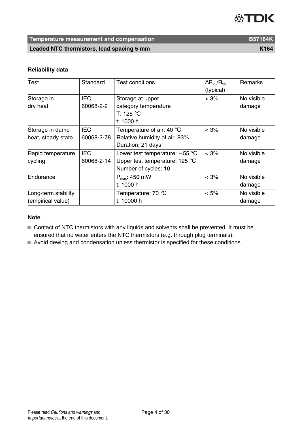### **Temperature measurement and compensation B57164K** B57164K

**Leaded NTC thermistors, lead spacing 5 mm K164** 

#### **Reliability data**

| Test                                     | Standard                 | <b>Test conditions</b>                                                                     | $\Delta$ R <sub>25</sub> /R <sub>25</sub><br>(typical) | <b>Remarks</b>       |
|------------------------------------------|--------------------------|--------------------------------------------------------------------------------------------|--------------------------------------------------------|----------------------|
| Storage in<br>dry heat                   | IEC<br>60068-2-2         | Storage at upper<br>category temperature<br>T: 125 °C<br>t: 1000 h                         | $< 3\%$                                                | No visible<br>damage |
| Storage in damp<br>heat, steady state    | IEC<br>60068-2-78        | Temperature of air: 40 °C<br>Relative humidity of air: 93%<br>Duration: 21 days            | $< 3\%$                                                | No visible<br>damage |
| Rapid temperature<br>cycling             | <b>IEC</b><br>60068-2-14 | Lower test temperature: $-55$ °C<br>Upper test temperature: 125 °C<br>Number of cycles: 10 | $< 3\%$                                                | No visible<br>damage |
| Endurance                                |                          | $P_{max}$ : 450 mW<br>t: 1000 h                                                            | $< 3\%$                                                | No visible<br>damage |
| Long-term stability<br>(empirical value) |                          | Temperature: 70 °C<br>t: 10000 h                                                           | $< 5\%$                                                | No visible<br>damage |

#### **Note**

Contact of NTC thermistors with any liquids and solvents shall be prevented. It must be ensured that no water enters the NTC thermistors (e.g. through plug terminals).

Avoid dewing and condensation unless thermistor is specified for these conditions.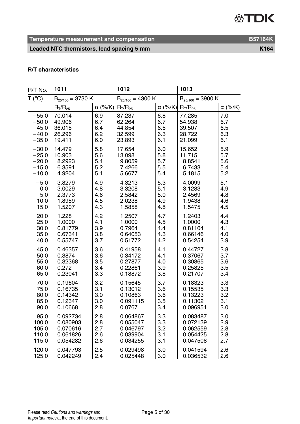**Temperature measurement and compensation B57164K** 

Leaded NTC thermistors, lead spacing 5 mm

| R/T No. | 1011                  |                | 1012                  |                | 1013                  |                |
|---------|-----------------------|----------------|-----------------------|----------------|-----------------------|----------------|
| T (°C)  | $B_{25/100} = 3730 K$ |                | $B_{25/100} = 4300 K$ |                | $B_{25/100} = 3900 K$ |                |
|         | $R_T/R_{25}$          | $\alpha$ (%/K) | $R_{T}/R_{25}$        | $\alpha$ (%/K) | $R_T/R_{25}$          | $\alpha$ (%/K) |
| $-55.0$ | 70.014                | 6.9            | 87.237                | 6.8            | 77.285                | 7.0            |
| $-50.0$ | 49.906                | 6.7            | 62.264                | 6.7            | 54.938                | 6.7            |
| $-45.0$ | 36.015                | 6.4            | 44.854                | 6.5            | 39.507                | 6.5            |
| $-40.0$ | 26.296                | 6.2            | 32.599                | 6.3            | 28.722                | 6.3            |
| $-35.0$ | 19.411                | 6.0            | 23.893                | 6.1            | 21.099                | 6.1            |
| $-30.0$ | 14.479                | 5.8            | 17.654                | 6.0            | 15.652                | 5.9            |
| $-25.0$ | 10.903                | 5.6            | 13.098                | 5.8            | 11.715                | 5.7            |
| $-20.0$ | 8.2923                | 5.4            | 9.8059                | 5.7            | 8.8541                | 5.6            |
| $-15.0$ | 6.3591                | 5.2            | 7.4266                | 5.5            | 6.7433                | 5.4            |
| $-10.0$ | 4.9204                | 5.1            | 5.6677                | 5.4            | 5.1815                | 5.2            |
| $-5.0$  | 3.8279                | 4.9            | 4.3213                | 5.3            | 4.0099                | 5.1            |
| 0.0     | 3.0029                | 4.8            | 3.3208                | 5.1            | 3.1283                | 4.9            |
| 5.0     | 2.3773                | 4.6            | 2.5842                | 5.0            | 2.4569                | 4.8            |
| 10.0    | 1.8959                | 4.5            | 2.0238                | 4.9            | 1.9438                | 4.6            |
| 15.0    | 1.5207                | 4.3            | 1.5858                | 4.8            | 1.5475                | 4.5            |
| 20.0    | 1.228                 | 4.2            | 1.2507                | 4.7            | 1.2403                | 4.4            |
| 25.0    | 1.0000                | 4.1            | 1.0000                | 4.5            | 1.0000                | 4.3            |
| 30.0    | 0.81779               | 3.9            | 0.7964                | 4.4            | 0.81104               | 4.1            |
| 35.0    | 0.67341               | 3.8            | 0.64053               | 4.3            | 0.66146               | 4.0            |
| 40.0    | 0.55747               | 3.7            | 0.51772               | 4.2            | 0.54254               | 3.9            |
| 45.0    | 0.46357               | 3.6            | 0.41958               | 4.1            | 0.44727               | 3.8            |
| 50.0    | 0.3874                | 3.6            | 0.34172               | 4.1            | 0.37067               | 3.7            |
| 55.0    | 0.32368               | 3.5            | 0.27877               | 4.0            | 0.30865               | 3.6            |
| 60.0    | 0.272                 | 3.4            | 0.22861               | 3.9            | 0.25825               | 3.5            |
| 65.0    | 0.23041               | 3.3            | 0.18872               | 3.8            | 0.21707               | 3.4            |
| 70.0    | 0.19604               | 3.2            | 0.15645               | 3.7            | 0.18323               | 3.3            |
| 75.0    | 0.16735               | 3.1            | 0.13012               | 3.6            | 0.15535               | 3.3            |
| 80.0    | 0.14342               | 3.0            | 0.10863               | 3.6            | 0.13223               | 3.2            |
| 85.0    | 0.12347               | 3.0            | 0.091115              | 3.5            | 0.11302               | 3.1            |
| 90.0    | 0.10668               | 2.8            | 0.0767                | 3.4            | 0.096951              | 3.0            |
| 95.0    | 0.092734              | 2.8            | 0.064867              | 3.3            | 0.083487              | 3.0            |
| 100.0   | 0.080903              | 2.8            | 0.055047              | 3.3            | 0.072139              | 2.9            |
| 105.0   | 0.070616              | 2.7            | 0.046797              | 3.2            | 0.062559              | 2.8            |
| 110.0   | 0.061826              | 2.6            | 0.039904              | 3.1            | 0.054425              | 2.8            |
| 115.0   | 0.054282              | 2.6            | 0.034255              | 3.1            | 0.047508              | 2.7            |
| 120.0   | 0.047793              | 2.5            | 0.029498              | 3.0            | 0.041594              | 2.6            |
| 125.0   | 0.042249              | 2.4            | 0.025448              | 3.0            | 0.036532              | 2.6            |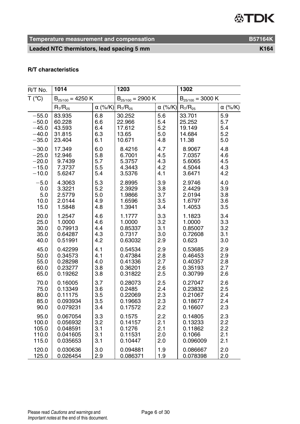**Temperature measurement and compensation B57164K** 

Leaded NTC thermistors, lead spacing 5 mm

| R/T No. | 1014                  |                | 1203                  |                | 1302                  |                |
|---------|-----------------------|----------------|-----------------------|----------------|-----------------------|----------------|
| T (°C)  | $B_{25/100} = 4250 K$ |                | $B_{25/100} = 2900 K$ |                | $B_{25/100} = 3000 K$ |                |
|         | $R_T/R_{25}$          | $\alpha$ (%/K) | $R_{T}/R_{25}$        | $\alpha$ (%/K) | $R_T/R_{25}$          | $\alpha$ (%/K) |
| $-55.0$ | 83.935                | 6.8            | 30.252                | 5.6            | 33.701                | 5.9            |
| $-50.0$ | 60.228                | 6.6            | 22.966                | 5.4            | 25.252                | 5.7            |
| $-45.0$ | 43.593                | 6.4            | 17.612                | 5.2            | 19.149                | 5.4            |
| $-40.0$ | 31.815                | 6.3            | 13.65                 | 5.0            | 14.684                | 5.2            |
| $-35.0$ | 23.404                | 6.1            | 10.671                | 4.8            | 11.38                 | 5.0            |
| $-30.0$ | 17.349                | 6.0            | 8.4216                | 4.7            | 8.9067                | 4.8            |
| $-25.0$ | 12.946                | 5.8            | 6.7001                | 4.5            | 7.0357                | 4.6            |
| $-20.0$ | 9.7439                | 5.7            | 5.3757                | 4.3            | 5.6065                | 4.5            |
| $-15.0$ | 7.3737                | 5.5            | 4.3443                | 4.2            | 4.5044                | 4.3            |
| $-10.0$ | 5.6247                | 5.4            | 3.5376                | 4.1            | 3.6471                | 4.2            |
| $-5.0$  | 4.3063                | 5.3            | 2.8995                | 3.9            | 2.9746                | 4.0            |
| 0.0     | 3.3221                | 5.2            | 2.3929                | 3.8            | 2.4429                | 3.9            |
| 5.0     | 2.5779                | 5.0            | 1.9866                | 3.7            | 2.0194                | 3.8            |
| 10.0    | 2.0144                | 4.9            | 1.6596                | 3.5            | 1.6797                | 3.6            |
| 15.0    | 1.5848                | 4.8            | 1.3941                | 3.4            | 1.4053                | 3.5            |
| 20.0    | 1.2547                | 4.6            | 1.1777                | 3.3            | 1.1823                | 3.4            |
| 25.0    | 1.0000                | 4.6            | 1.0000                | 3.2            | 1.0000                | 3.3            |
| 30.0    | 0.79913               | 4.4            | 0.85337               | 3.1            | 0.85007               | 3.2            |
| 35.0    | 0.64287               | 4.3            | 0.7317                | 3.0            | 0.72608               | 3.1            |
| 40.0    | 0.51991               | 4.2            | 0.63032               | 2.9            | 0.623                 | 3.0            |
| 45.0    | 0.42299               | 4.1            | 0.54534               | 2.9            | 0.53685               | 2.9            |
| 50.0    | 0.34573               | 4.1            | 0.47384               | 2.8            | 0.46453               | 2.9            |
| 55.0    | 0.28298               | 4.0            | 0.41336               | 2.7            | 0.40357               | 2.8            |
| 60.0    | 0.23277               | 3.8            | 0.36201               | 2.6            | 0.35193               | 2.7            |
| 65.0    | 0.19262               | 3.8            | 0.31822               | 2.5            | 0.30799               | 2.6            |
| 70.0    | 0.16005               | 3.7            | 0.28073               | 2.5            | 0.27047               | 2.6            |
| 75.0    | 0.13349               | 3.6            | 0.2485                | 2.4            | 0.23832               | 2.5            |
| 80.0    | 0.11175               | 3.5            | 0.22069               | 2.3            | 0.21067               | 2.4            |
| 85.0    | 0.093934              | 3.5            | 0.19663               | 2.3            | 0.18677               | 2.4            |
| 90.0    | 0.079231              | 3.4            | 0.17572               | 2.2            | 0.16607               | 2.3            |
| 95.0    | 0.067054              | 3.3            | 0.1575                | 2.2            | 0.14805               | 2.3            |
| 100.0   | 0.056932              | 3.2            | 0.14157               | 2.1            | 0.13233               | 2.2            |
| 105.0   | 0.048591              | 3.1            | 0.1276                | 2.1            | 0.11862               | 2.2            |
| 110.0   | 0.041605              | 3.1            | 0.11531               | 2.0            | 0.1066                | 2.1            |
| 115.0   | 0.035653              | 3.1            | 0.10447               | 2.0            | 0.096009              | 2.1            |
| 120.0   | 0.030636              | 3.0            | 0.094881              | 1.9            | 0.086667              | 2.0            |
| 125.0   | 0.026454              | 2.9            | 0.086371              | 1.9            | 0.078398              | 2.0            |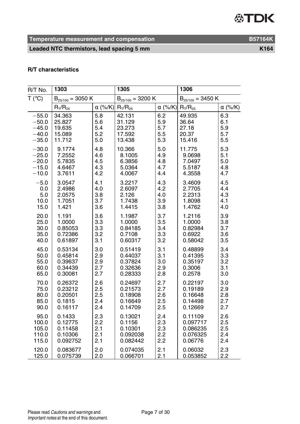**Temperature measurement and compensation B57164K** 

Leaded NTC thermistors, lead spacing 5 mm

| R/T No. | 1303                  |                | 1305                  |                | 1306                  |                |
|---------|-----------------------|----------------|-----------------------|----------------|-----------------------|----------------|
| T (°C)  | $B_{25/100} = 3050 K$ |                | $B_{25/100} = 3200 K$ |                | $B_{25/100} = 3450 K$ |                |
|         | $R_T/R_{25}$          | $\alpha$ (%/K) | $R_{T}/R_{25}$        | $\alpha$ (%/K) | $R_T/R_{25}$          | $\alpha$ (%/K) |
| $-55.0$ | 34.363                | 5.8            | 42.131                | 6.2            | 49.935                | 6.3            |
| $-50.0$ | 25.827                | 5.6            | 31.129                | 5.9            | 36.64                 | 6.1            |
| $-45.0$ | 19.635                | 5.4            | 23.273                | 5.7            | 27.18                 | 5.9            |
| $-40.0$ | 15.089                | 5.2            | 17.592                | 5.5            | 20.37                 | 5.7            |
| $-35.0$ | 11.712                | 5.0            | 13.438                | 5.3            | 15.416                | 5.5            |
| $-30.0$ | 9.1774                | 4.8            | 10.366                | 5.0            | 11.775                | 5.3            |
| $-25.0$ | 7.2552                | 4.6            | 8.1005                | 4.9            | 9.0698                | 5.1            |
| $-20.0$ | 5.7835                | 4.5            | 6.3856                | 4.8            | 7.0497                | 5.0            |
| $-15.0$ | 4.6467                | 4.3            | 5.0364                | 4.7            | 5.5187                | 4.8            |
| $-10.0$ | 3.7611                | 4.2            | 4.0067                | 4.4            | 4.3558                | 4.7            |
| $-5.0$  | 3.0547                | 4.1            | 3.2217                | 4.3            | 3.4609                | 4.5            |
| 0.0     | 2.4986                | 4.0            | 2.6097                | 4.2            | 2.7705                | 4.4            |
| 5.0     | 2.0575                | 3.8            | 2.126                 | 4.0            | 2.2313                | 4.3            |
| 10.0    | 1.7051                | 3.7            | 1.7438                | 3.9            | 1.8098                | 4.1            |
| 15.0    | 1.421                 | 3.6            | 1.4415                | 3.8            | 1.4762                | 4.0            |
| 20.0    | 1.191                 | 3.6            | 1.1987                | 3.7            | 1.2116                | 3.9            |
| 25.0    | 1.0000                | 3.3            | 1.0000                | 3.5            | 1.0000                | 3.8            |
| 30.0    | 0.85053               | 3.3            | 0.84185               | 3.4            | 0.82984               | 3.7            |
| 35.0    | 0.72386               | 3.2            | 0.7108                | 3.3            | 0.6922                | 3.6            |
| 40.0    | 0.61897               | 3.1            | 0.60317               | 3.2            | 0.58042               | 3.5            |
| 45.0    | 0.53134               | 3.0            | 0.51419               | 3.1            | 0.48899               | 3.4            |
| 50.0    | 0.45814               | 2.9            | 0.44037               | 3.1            | 0.41395               | 3.3            |
| 55.0    | 0.39637               | 2.9            | 0.37824               | 3.0            | 0.35197               | 3.2            |
| 60.0    | 0.34439               | 2.7            | 0.32636               | 2.9            | 0.3006                | 3.1            |
| 65.0    | 0.30081               | 2.7            | 0.28333               | 2.8            | 0.2578                | 3.0            |
| 70.0    | 0.26372               | 2.6            | 0.24697               | 2.7            | 0.22197               | 3.0            |
| 75.0    | 0.23212               | 2.5            | 0.21573               | 2.7            | 0.19189               | 2.9            |
| 80.0    | 0.20501               | 2.5            | 0.18908               | 2.6            | 0.16648               | 2.8            |
| 85.0    | 0.1815                | 2.4            | 0.16649               | 2.5            | 0.14498               | 2.7            |
| 90.0    | 0.16117               | 2.4            | 0.14709               | 2.5            | 0.12669               | 2.7            |
| 95.0    | 0.1433                | 2.3            | 0.13021               | 2.4            | 0.11109               | 2.6            |
| 100.0   | 0.12775               | 2.2            | 0.1156                | 2.3            | 0.097717              | 2.5            |
| 105.0   | 0.11458               | 2.1            | 0.10301               | 2.3            | 0.086235              | 2.5            |
| 110.0   | 0.10306               | 2.1            | 0.092038              | 2.2            | 0.076325              | 2.4            |
| 115.0   | 0.092752              | 2.1            | 0.082442              | 2.2            | 0.06776               | 2.4            |
| 120.0   | 0.083677              | 2.0            | 0.074035              | 2.1            | 0.06032               | 2.3            |
| 125.0   | 0.075739              | 2.0            | 0.066701              | 2.1            | 0.053852              | 2.2            |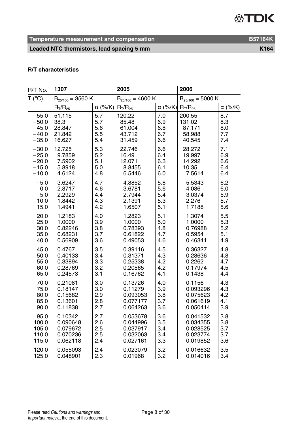**Temperature measurement and compensation B57164K** 

Leaded NTC thermistors, lead spacing 5 mm

| R/T No. | 1307                  |                | 2005                  |                | 2006                  |                |
|---------|-----------------------|----------------|-----------------------|----------------|-----------------------|----------------|
| T (°C)  | $B_{25/100} = 3560 K$ |                | $B_{25/100} = 4600 K$ |                | $B_{25/100} = 5000 K$ |                |
|         | $R_T/R_{25}$          | $\alpha$ (%/K) | $R_{T}/R_{25}$        | $\alpha$ (%/K) | $R_T/R_{25}$          | $\alpha$ (%/K) |
| $-55.0$ | 51.115                | 5.7            | 120.22                | 7.0            | 200.55                | 8.7            |
| $-50.0$ | 38.3                  | 5.7            | 85.48                 | 6.9            | 131.02                | 8.3            |
| $-45.0$ | 28.847                | 5.6            | 61.004                | 6.8            | 87.171                | 8.0            |
| $-40.0$ | 21.842                | 5.5            | 43.712                | 6.7            | 58.988                | 7.7            |
| $-35.0$ | 16.627                | 5.4            | 31.459                | 6.6            | 40.545                | 7.4            |
| $-30.0$ | 12.725                | 5.3            | 22.746                | 6.6            | 28.272                | 7.1            |
| $-25.0$ | 9.7859                | 5.2            | 16.49                 | 6.4            | 19.997                | 6.9            |
| $-20.0$ | 7.5902                | 5.1            | 12.071                | 6.3            | 14.292                | 6.6            |
| $-15.0$ | 5.8918                | 5.0            | 8.8455                | 6.1            | 10.35                 | 6.4            |
| $-10.0$ | 4.6124                | 4.8            | 6.5446                | 6.0            | 7.5614                | 6.4            |
| $-5.0$  | 3.6247                | 4.7            | 4.8852                | 5.8            | 5.5343                | 6.2            |
| 0.0     | 2.8717                | 4.6            | 3.6781                | 5.6            | 4.086                 | 6.0            |
| 5.0     | 2.2929                | 4.4            | 2.7944                | 5.4            | 3.0374                | 5.9            |
| 10.0    | 1.8442                | 4.3            | 2.1391                | 5.3            | 2.276                 | 5.7            |
| 15.0    | 1.4941                | 4.2            | 1.6507                | 5.1            | 1.7188                | 5.6            |
| 20.0    | 1.2183                | 4.0            | 1.2823                | 5.1            | 1.3074                | 5.5            |
| 25.0    | 1.0000                | 3.9            | 1.0000                | 5.0            | 1.0000                | 5.3            |
| 30.0    | 0.82246               | 3.8            | 0.78393               | 4.8            | 0.76988               | 5.2            |
| 35.0    | 0.68231               | 3.7            | 0.61822               | 4.7            | 0.5954                | 5.1            |
| 40.0    | 0.56909               | 3.6            | 0.49053               | 4.6            | 0.46341               | 4.9            |
| 45.0    | 0.4767                | 3.5            | 0.39116               | 4.5            | 0.36327               | 4.8            |
| 50.0    | 0.40133               | 3.4            | 0.31371               | 4.3            | 0.28636               | 4.8            |
| 55.0    | 0.33894               | 3.3            | 0.25338               | 4.2            | 0.2262                | 4.7            |
| 60.0    | 0.28769               | 3.2            | 0.20565               | 4.2            | 0.17974               | 4.5            |
| 65.0    | 0.24573               | 3.1            | 0.16762               | 4.1            | 0.1438                | 4.4            |
| 70.0    | 0.21081               | 3.0            | 0.13726               | 4.0            | 0.1156                | 4.3            |
| 75.0    | 0.18147               | 3.0            | 0.11279               | 3.9            | 0.093296              | 4.3            |
| 80.0    | 0.15682               | 2.9            | 0.093053              | 3.8            | 0.075623              | 4.2            |
| 85.0    | 0.13601               | 2.8            | 0.077177              | 3.7            | 0.061619              | 4.1            |
| 90.0    | 0.11838               | 2.7            | 0.064263              | 3.6            | 0.050414              | 3.9            |
| 95.0    | 0.10342               | 2.7            | 0.053678              | 3.6            | 0.041532              | 3.8            |
| 100.0   | 0.090648              | 2.6            | 0.044996              | 3.5            | 0.034355              | 3.8            |
| 105.0   | 0.079672              | 2.5            | 0.037917              | 3.4            | 0.028525              | 3.7            |
| 110.0   | 0.070236              | 2.5            | 0.032063              | 3.4            | 0.023774              | 3.7            |
| 115.0   | 0.062118              | 2.4            | 0.027161              | 3.3            | 0.019852              | 3.6            |
| 120.0   | 0.055093              | 2.4            | 0.023079              | 3.2            | 0.016632              | 3.5            |
| 125.0   | 0.048901              | 2.3            | 0.01968               | 3.2            | 0.014016              | 3.4            |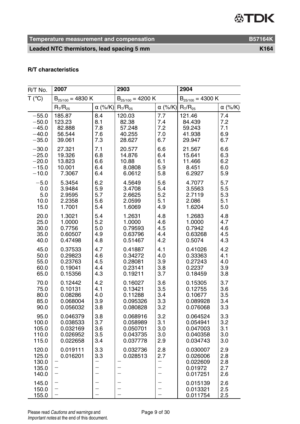**Temperature measurement and compensation B57164K** 

Leaded NTC thermistors, lead spacing 5 mm

| R/T No.                                   | 2007                                                  |                                                                    | 2903                                                      |                                                                         | 2904                                                    |                                 |
|-------------------------------------------|-------------------------------------------------------|--------------------------------------------------------------------|-----------------------------------------------------------|-------------------------------------------------------------------------|---------------------------------------------------------|---------------------------------|
| T (°C)                                    | $B_{25/100} = 4830 K$                                 |                                                                    | $B_{25/100} = 4200 K$                                     |                                                                         | $B_{25/100} = 4300 K$                                   |                                 |
|                                           | $R_{T}/R_{25}$                                        | $\alpha$ (%/K)                                                     | $R_{T}/R_{25}$                                            | $\alpha$ (%/K)                                                          | $R_T/R_{25}$                                            | $\alpha$ (%/K)                  |
| $-55.0$                                   | 185.87                                                | 8.4                                                                | 120.03                                                    | 7.7                                                                     | 121.46                                                  | 7.4                             |
| $-50.0$                                   | 123.23                                                | 8.1                                                                | 82.38                                                     | 7.4                                                                     | 84.439                                                  | 7.2                             |
| $-45.0$                                   | 82.888                                                | 7.8                                                                | 57.248                                                    | 7.2                                                                     | 59.243                                                  | 7.1                             |
| $-40.0$                                   | 56.544                                                | 7.6                                                                | 40.255                                                    | 7.0                                                                     | 41.938                                                  | 6.9                             |
| $-35.0$                                   | 39.061                                                | 7.3                                                                | 28.627                                                    | 6.7                                                                     | 29.947                                                  | 6.7                             |
| $-30.0$                                   | 27.321                                                | 7.1                                                                | 20.577                                                    | 6.6                                                                     | 21.567                                                  | 6.6                             |
| $-25.0$                                   | 19.326                                                | 6.8                                                                | 14.876                                                    | 6.4                                                                     | 15.641                                                  | 6.3                             |
| $-20.0$                                   | 13.823                                                | 6.6                                                                | 10.88                                                     | 6.1                                                                     | 11.466                                                  | 6.2                             |
| $-15.0$                                   | 10.001                                                | 6.4                                                                | 8.0808                                                    | 5.9                                                                     | 8.451                                                   | 6.0                             |
| $-10.0$                                   | 7.3067                                                | 6.4                                                                | 6.0612                                                    | 5.8                                                                     | 6.2927                                                  | 5.9                             |
| $-5.0$                                    | 5.3454                                                | 6.2                                                                | 4.5649                                                    | 5.6                                                                     | 4.7077                                                  | 5.7                             |
| 0.0                                       | 3.9484                                                | 5.9                                                                | 3.4708                                                    | 5.4                                                                     | 3.5563                                                  | 5.5                             |
| 5.0                                       | 2.9595                                                | 5.7                                                                | 2.6625                                                    | 5.2                                                                     | 2.7119                                                  | 5.3                             |
| 10.0                                      | 2.2358                                                | 5.6                                                                | 2.0599                                                    | 5.1                                                                     | 2.086                                                   | 5.1                             |
| 15.0                                      | 1.7001                                                | 5.4                                                                | 1.6069                                                    | 4.9                                                                     | 1.6204                                                  | 5.0                             |
| 20.0                                      | 1.3021                                                | 5.4                                                                | 1.2631                                                    | 4.8                                                                     | 1.2683                                                  | 4.8                             |
| 25.0                                      | 1.0000                                                | 5.2                                                                | 1.0000                                                    | 4.6                                                                     | 1.0000                                                  | 4.7                             |
| 30.0                                      | 0.7756                                                | 5.0                                                                | 0.79593                                                   | 4.5                                                                     | 0.7942                                                  | 4.6                             |
| 35.0                                      | 0.60507                                               | 4.9                                                                | 0.63796                                                   | 4.4                                                                     | 0.63268                                                 | 4.5                             |
| 40.0                                      | 0.47498                                               | 4.8                                                                | 0.51467                                                   | 4.2                                                                     | 0.5074                                                  | 4.3                             |
| 45.0                                      | 0.37533                                               | 4.7                                                                | 0.41887                                                   | 4.1                                                                     | 0.41026                                                 | 4.2                             |
| 50.0                                      | 0.29823                                               | 4.6                                                                | 0.34272                                                   | 4.0                                                                     | 0.33363                                                 | 4.1                             |
| 55.0                                      | 0.23763                                               | 4.5                                                                | 0.28081                                                   | 3.9                                                                     | 0.27243                                                 | 4.0                             |
| 60.0                                      | 0.19041                                               | 4.4                                                                | 0.23141                                                   | 3.8                                                                     | 0.2237                                                  | 3.9                             |
| 65.0                                      | 0.15356                                               | 4.3                                                                | 0.19211                                                   | 3.7                                                                     | 0.18459                                                 | 3.8                             |
| 70.0                                      | 0.12442                                               | 4.2                                                                | 0.16027                                                   | 3.6                                                                     | 0.15305                                                 | 3.7                             |
| 75.0                                      | 0.10131                                               | 4.1                                                                | 0.13421                                                   | 3.5                                                                     | 0.12755                                                 | 3.6                             |
| 80.0                                      | 0.08286                                               | 4.0                                                                | 0.11288                                                   | 3.4                                                                     | 0.10677                                                 | 3.5                             |
| 85.0                                      | 0.068004                                              | 3.9                                                                | 0.095326                                                  | 3.3                                                                     | 0.089928                                                | 3.4                             |
| 90.0                                      | 0.056032                                              | 3.8                                                                | 0.080828                                                  | 3.2                                                                     | 0.076068                                                | 3.3                             |
| 95.0                                      | 0.046379                                              | 3.8                                                                | 0.068916                                                  | 3.2                                                                     | 0.064524                                                | 3.3                             |
| 100.0                                     | 0.038533                                              | 3.7                                                                | 0.058989                                                  | 3.1                                                                     | 0.054941                                                | 3.2                             |
| 105.0                                     | 0.032169                                              | 3.6                                                                | 0.050701                                                  | 3.0                                                                     | 0.047003                                                | 3.1                             |
| 110.0                                     | 0.026952                                              | 3.5                                                                | 0.043735                                                  | 3.0                                                                     | 0.040358                                                | 3.0                             |
| 115.0                                     | 0.022658                                              | 3.4                                                                | 0.037778                                                  | 2.9                                                                     | 0.034743                                                | 3.0                             |
| 120.0<br>125.0<br>130.0<br>135.0<br>140.0 | 0.019111<br>0.016201<br>$\overline{\phantom{0}}$<br>- | 3.3<br>3.3<br>$\overline{\phantom{0}}$<br>$\overline{\phantom{0}}$ | 0.032736<br>0.028513<br>$\overline{\phantom{0}}$<br>—     | 2.8<br>2.7<br>-<br>$\overline{\phantom{0}}$<br>$\overline{\phantom{0}}$ | 0.030007<br>0.026006<br>0.022609<br>0.01972<br>0.017251 | 2.9<br>2.8<br>2.8<br>2.7<br>2.6 |
| 145.0<br>150.0<br>155.0                   | —<br>$\qquad \qquad -$<br>$\overline{\phantom{0}}$    | $\overline{\phantom{0}}$<br>$\equiv$                               | —<br>$\overline{\phantom{0}}$<br>$\overline{\phantom{0}}$ | $\overline{\phantom{0}}$<br>$\overline{\phantom{0}}$                    | 0.015139<br>0.013321<br>0.011754                        | 2.6<br>2.5<br>2.5               |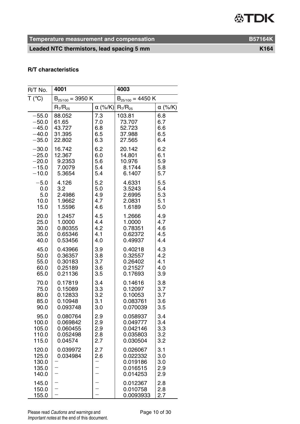**Temperature measurement and compensation B57164K** 

### Leaded NTC thermistors, lead spacing 5 mm

| R/T No.                                   | 4001                  |                          | 4003                                                     |                                 |
|-------------------------------------------|-----------------------|--------------------------|----------------------------------------------------------|---------------------------------|
| T (°C)                                    | $B_{25/100} = 3950 K$ |                          | $B_{25/100} = 4450 K$                                    |                                 |
|                                           | $R_T/R_{25}$          | $\alpha$ (%/K)           | $R_T/R_{25}$                                             | $\alpha$ (%/K)                  |
| $-55.0$                                   | 88.052                | 7.3                      | 103.81                                                   | 6.8                             |
| $-50.0$                                   | 61.65                 | 7.0                      | 73.707                                                   | 6.7                             |
| $-45.0$                                   | 43.727                | 6.8                      | 52.723                                                   | 6.6                             |
| $-40.0$                                   | 31.395                | 6.5                      | 37.988                                                   | 6.5                             |
| $-35.0$                                   | 22.802                | 6.3                      | 27.565                                                   | 6.4                             |
| $-30.0$                                   | 16.742                | 6.2                      | 20.142                                                   | 6.2                             |
| $-25.0$                                   | 12.367                | 6.0                      | 14.801                                                   | 6.1                             |
| $-20.0$                                   | 9.2353                | 5.6                      | 10.976                                                   | 5.9                             |
| $-15.0$                                   | 7.0079                | 5.4                      | 8.1744                                                   | 5.8                             |
| $-10.0$                                   | 5.3654                | 5.4                      | 6.1407                                                   | 5.7                             |
| $-5.0$                                    | 4.126                 | 5.2                      | 4.6331                                                   | 5.5                             |
| 0.0                                       | 3.2                   | 5.0                      | 3.5243                                                   | 5.4                             |
| 5.0                                       | 2.4986                | 4.9                      | 2.6995                                                   | 5.3                             |
| 10.0                                      | 1.9662                | 4.7                      | 2.0831                                                   | 5.1                             |
| 15.0                                      | 1.5596                | 4.6                      | 1.6189                                                   | 5.0                             |
| 20.0                                      | 1.2457                | 4.5                      | 1.2666                                                   | 4.9                             |
| 25.0                                      | 1.0000                | 4.4                      | 1.0000                                                   | 4.7                             |
| 30.0                                      | 0.80355               | 4.2                      | 0.78351                                                  | 4.6                             |
| 35.0                                      | 0.65346               | 4.1                      | 0.62372                                                  | 4.5                             |
| 40.0                                      | 0.53456               | 4.0                      | 0.49937                                                  | 4.4                             |
| 45.0                                      | 0.43966               | 3.9                      | 0.40218                                                  | 4.3                             |
| 50.0                                      | 0.36357               | 3.8                      | 0.32557                                                  | 4.2                             |
| 55.0                                      | 0.30183               | 3.7                      | 0.26402                                                  | 4.1                             |
| 60.0                                      | 0.25189               | 3.6                      | 0.21527                                                  | 4.0                             |
| 65.0                                      | 0.21136               | 3.5                      | 0.17693                                                  | 3.9                             |
| 70.0                                      | 0.17819               | 3.4                      | 0.14616                                                  | 3.8                             |
| 75.0                                      | 0.15089               | 3.3                      | 0.12097                                                  | 3.7                             |
| 80.0                                      | 0.12833               | 3.2                      | 0.10053                                                  | 3.7                             |
| 85.0                                      | 0.10948               | 3.1                      | 0.083761                                                 | 3.6                             |
| 90.0                                      | 0.093748              | 3.0                      | 0.070039                                                 | 3.5                             |
| 95.0                                      | 0.080764              | 2.9                      | 0.058937                                                 | 3.4                             |
| 100.0                                     | 0.069842              | 2.9                      | 0.049777                                                 | 3.4                             |
| 105.0                                     | 0.060455              | 2.9                      | 0.042146                                                 | 3.3                             |
| 110.0                                     | 0.052498              | 2.8                      | 0.035803                                                 | 3.2                             |
| 115.0                                     | 0.04574               | 2.7                      | 0.030504                                                 | 3.2                             |
| 120.0<br>125.0<br>130.0<br>135.0<br>140.0 | 0.039972<br>0.034984  | 2.7<br>2.6               | 0.026067<br>0.022332<br>0.019186<br>0.016515<br>0.014253 | 3.1<br>3.0<br>3.0<br>2.9<br>2.9 |
| 145.0<br>150.0<br>155.0                   |                       | $\overline{\phantom{0}}$ | 0.012367<br>0.010758<br>0.0093933                        | 2.8<br>2.8<br>2.7               |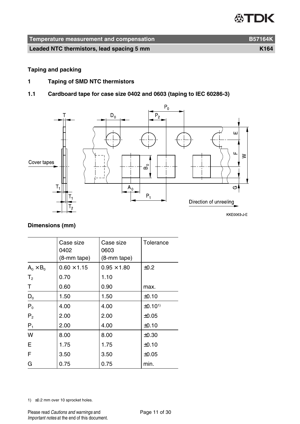| Temperature measurement and compensation  | <b>B57164K</b> |
|-------------------------------------------|----------------|
| Leaded NTC thermistors, lead spacing 5 mm | K164           |

#### **Taping and packing**

- **1 Taping of SMD NTC thermistors**
- **1.1 Cardboard tape for case size 0402 and 0603 (taping to IEC 60286-3)**



#### **Dimensions (mm)**

|                  | Case size<br>0402<br>(8-mm tape) | Case size<br>0603<br>$(8-mm)$ tape) | Tolerance          |
|------------------|----------------------------------|-------------------------------------|--------------------|
| $A_0 \times B_0$ | $0.60 \times 1.15$               | $0.95 \times 1.80$                  | $\pm 0.2$          |
| T <sub>2</sub>   | 0.70                             | 1.10                                |                    |
| T                | 0.60                             | 0.90                                | max.               |
| $\mathsf{D}_0$   | 1.50                             | 1.50                                | ±0.10              |
| $P_0$            | 4.00                             | 4.00                                | ±0.10 <sup>1</sup> |
| P <sub>2</sub>   | 2.00                             | 2.00                                | $\pm 0.05$         |
| $P_1$            | 2.00                             | 4.00                                | ±0.10              |
| W                | 8.00                             | 8.00                                | ±0.30              |
| E                | 1.75                             | 1.75                                | ±0.10              |
| F                | 3.50                             | 3.50                                | $\pm 0.05$         |
| G                | 0.75                             | 0.75                                | min.               |

1) ≤0.2 mm over 10 sprocket holes.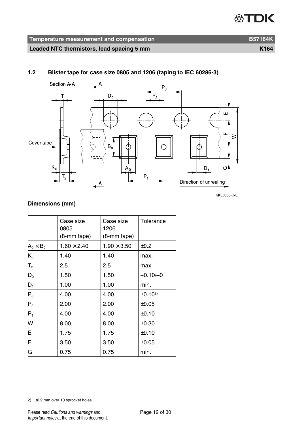#### **1.2 Blister tape for case size 0805 and 1206 (taping to IEC 60286-3)**



**KKE0053 C E** 

#### **Dimensions (mm)**

|                  | Case size<br>0805<br>(8-mm tape) | Case size<br>1206<br>(8-mm tape) | Tolerance          |
|------------------|----------------------------------|----------------------------------|--------------------|
| $A_0 \times B_0$ | $1.60 \times 2.40$               | $1.90 \times 3.50$               | ±0.2               |
| $K_0$            | 1.40                             | 1.40                             | max.               |
| T <sub>2</sub>   | 2.5                              | 2.5                              | max.               |
| $D_0$            | 1.50                             | 1.50                             | $+0.10/-0$         |
| $D_1$            | 1.00                             | 1.00                             | min.               |
| $P_0$            | 4.00                             | 4.00                             | ±0.10 <sup>2</sup> |
| P <sub>2</sub>   | 2.00                             | 2.00                             | ±0.05              |
| $P_1$            | 4.00                             | 4.00                             | ±0.10              |
| W                | 8.00                             | 8.00                             | $\pm 0.30$         |
| E                | 1.75                             | 1.75                             | ±0.10              |
| F                | 3.50                             | 3.50                             | ±0.05              |
| G                | 0.75                             | 0.75                             | min.               |

2) ≤0.2 mm over 10 sprocket holes.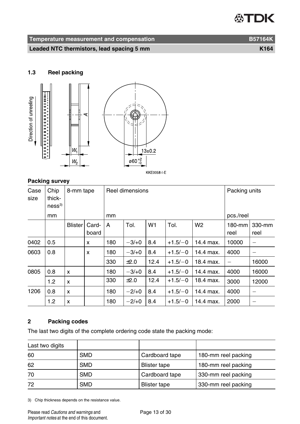| Temperature measurement and compensation  | <b>B57164K</b>   |
|-------------------------------------------|------------------|
| Leaded NTC thermistors, lead spacing 5 mm | K <sub>164</sub> |

#### **1.3 Reel packing**



#### **Packing survey**

| Case<br>size | Chip<br>thick-<br>ness <sup>3</sup> | 8-mm tape      |                | Reel dimensions |         |                | Packing units |                |                |                          |
|--------------|-------------------------------------|----------------|----------------|-----------------|---------|----------------|---------------|----------------|----------------|--------------------------|
|              | mm                                  |                |                | mm              |         |                |               |                | pcs./reel      |                          |
|              |                                     | <b>Blister</b> | Card-<br>board | A               | Tol.    | W <sub>1</sub> | Tol.          | W <sub>2</sub> | 180-mm<br>reel | 330-mm<br>reel           |
| 0402         | 0.5                                 |                | x              | 180             | $-3/+0$ | 8.4            | $+1.5/-0$     | 14.4 max.      | 10000          |                          |
| 0603         | 0.8                                 |                | x              | 180             | $-3/+0$ | 8.4            | $+1.5/-0$     | 14.4 max.      | 4000           | $\overline{\phantom{0}}$ |
|              |                                     |                |                | 330             | ±2.0    | 12.4           | $+1.5/-0$     | 18.4 max.      |                | 16000                    |
| 0805         | 0.8                                 | x              |                | 180             | $-3/+0$ | 8.4            | $+1.5/-0$     | 14.4 max.      | 4000           | 16000                    |
|              | 1.2                                 | x              |                | 330             | ±2.0    | 12.4           | $+1.5/-0$     | 18.4 max.      | 3000           | 12000                    |
| 1206         | 0.8                                 | x              |                | 180             | $-2/+0$ | 8.4            | $+1.5/-0$     | 14.4 max.      | 4000           | -                        |
|              | 1.2                                 | x              |                | 180             | $-2/+0$ | 8.4            | $+1.5/-0$     | 14.4 max.      | 2000           | -                        |

### **2 Packing codes**

The last two digits of the complete ordering code state the packing mode:

| Last two digits |            |                |                     |
|-----------------|------------|----------------|---------------------|
| 60              | <b>SMD</b> | Cardboard tape | 180-mm reel packing |
| 62              | <b>SMD</b> | Blister tape   | 180-mm reel packing |
| 70              | <b>SMD</b> | Cardboard tape | 330-mm reel packing |
| 72              | <b>SMD</b> | Blister tape   | 330-mm reel packing |

3) Chip thickness depends on the resistance value.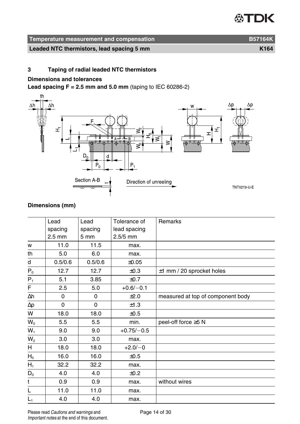| Temperature measurement and compensation  | <b>B57164K</b>   |
|-------------------------------------------|------------------|
| Leaded NTC thermistors, lead spacing 5 mm | K <sub>164</sub> |

#### **3 Taping of radial leaded NTC thermistors**

#### **Dimensions and tolerances**

**Lead spacing**  $F = 2.5$  **mm and 5.0 mm** (taping to IEC 60286-2)



### **Dimensions (mm)**

|                                                  | Lead     | Lead    | Tolerance of | <b>Remarks</b>                    |
|--------------------------------------------------|----------|---------|--------------|-----------------------------------|
|                                                  |          |         |              |                                   |
|                                                  | spacing  | spacing | lead spacing |                                   |
|                                                  | $2.5$ mm | 5 mm    | $2.5/5$ mm   |                                   |
| w                                                | 11.0     | 11.5    | max.         |                                   |
| th                                               | 5.0      | 6.0     | max.         |                                   |
| d                                                | 0.5/0.6  | 0.5/0.6 | ±0.05        |                                   |
| ${\sf P}_0$                                      | 12.7     | 12.7    | ±0.3         | $\pm$ 1 mm / 20 sprocket holes    |
| $\frac{P_1}{F}$                                  | 5.1      | 3.85    | ±0.7         |                                   |
|                                                  | 2.5      | 5.0     | $+0.6/-0.1$  |                                   |
| $\Delta h$                                       | 0        | 0       | ±2.0         | measured at top of component body |
| $\mathop{\underline{\Delta\mathsf{p}}}\nolimits$ | 0        | 0       | ±1.3         |                                   |
| W                                                | 18.0     | 18.0    | ±0.5         |                                   |
| $W_0$                                            | 5.5      | 5.5     | min.         | peel-off force ≥5 N               |
| $W_1$                                            | 9.0      | 9.0     | $+0.75/-0.5$ |                                   |
| W <sub>2</sub>                                   | 3.0      | 3.0     | max.         |                                   |
| H                                                | 18.0     | 18.0    | $+2.0/-0$    |                                   |
| $H_0$                                            | 16.0     | 16.0    | ±0.5         |                                   |
| $H_1$                                            | 32.2     | 32.2    | max.         |                                   |
| $D_0$                                            | 4.0      | 4.0     | ±0.2         |                                   |
| $\mathsf{t}$                                     | 0.9      | 0.9     | max.         | without wires                     |
| Г                                                | 11.0     | 11.0    | max.         |                                   |
| $L_1$                                            | 4.0      | 4.0     | max.         |                                   |

Please read Cautions and warnings and <br>
Page 14 of 30 Important notes at the end of this document.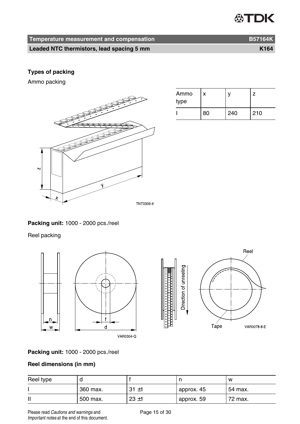| Temperature measurement and compensation  | <b>B57164K</b>   |
|-------------------------------------------|------------------|
| Leaded NTC thermistors, lead spacing 5 mm | K <sub>164</sub> |

#### **Types of packing**

Ammo packing



| Ammo<br>type | x  |     |     |
|--------------|----|-----|-----|
|              | 80 | 240 | 210 |

**Packing unit:** 1000 - 2000 pcs./reel

Reel packing





### **Packing unit:** 1000 - 2000 pcs./reel

### **Reel dimensions (in mm)**

| Reel type |          |          |            | W       |
|-----------|----------|----------|------------|---------|
|           | 360 max. | $31 + 1$ | approx. 45 | 54 max. |
| Ш         | 500 max. | $23 + 1$ | approx. 59 | 72 max. |

Please read Cautions and warnings and <br>
Page 15 of 30 Important notes at the end of this document.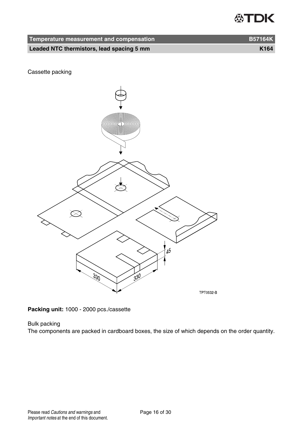| Temperature measurement and compensation  | <b>B57164K</b>   |
|-------------------------------------------|------------------|
| Leaded NTC thermistors, lead spacing 5 mm | K <sub>164</sub> |

Cassette packing



**Packing unit:** 1000 - 2000 pcs./cassette

#### Bulk packing

The components are packed in cardboard boxes, the size of which depends on the order quantity.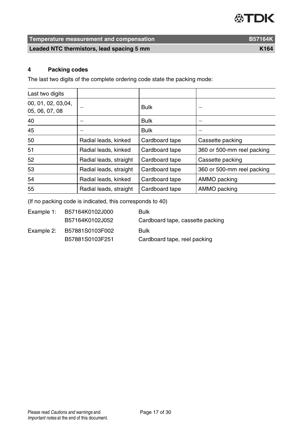**Temperature measurement and compensation B57164K** 

**Leaded NTC thermistors, lead spacing 5 mm K164** 

#### **4 Packing codes**

The last two digits of the complete ordering code state the packing mode:

| Last two digits                      |                        |                |                            |
|--------------------------------------|------------------------|----------------|----------------------------|
| 00, 01, 02, 03,04,<br>05, 06, 07, 08 |                        | <b>Bulk</b>    |                            |
| 40                                   |                        | <b>Bulk</b>    |                            |
| 45                                   |                        | <b>Bulk</b>    |                            |
| 50                                   | Radial leads, kinked   | Cardboard tape | Cassette packing           |
| 51                                   | Radial leads, kinked   | Cardboard tape | 360 or 500-mm reel packing |
| 52                                   | Radial leads, straight | Cardboard tape | Cassette packing           |
| 53                                   | Radial leads, straight | Cardboard tape | 360 or 500-mm reel packing |
| 54                                   | Radial leads, kinked   | Cardboard tape | AMMO packing               |
| 55                                   | Radial leads, straight | Cardboard tape | AMMO packing               |

(If no packing code is indicated, this corresponds to 40)

| Example 1: | B57164K0102J000 | <b>Bulk</b>                      |
|------------|-----------------|----------------------------------|
|            | B57164K0102J052 | Cardboard tape, cassette packing |
| Example 2: | B57881S0103F002 | Bulk                             |
|            | B57881S0103F251 | Cardboard tape, reel packing     |
|            |                 |                                  |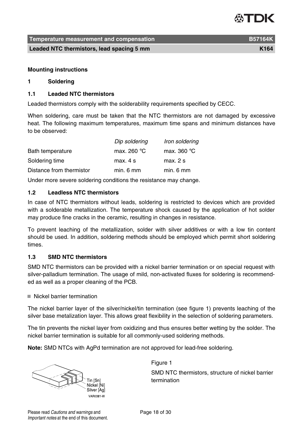**Temperature measurement and compensation B57164K**

**Leaded NTC thermistors, lead spacing 5 mm K164** matrices and the K164

#### **Mounting instructions**

#### **1 Soldering**

#### **1.1 Leaded NTC thermistors**

Leaded thermistors comply with the solderability requirements specified by CECC.

When soldering, care must be taken that the NTC thermistors are not damaged by excessive heat. The following maximum temperatures, maximum time spans and minimum distances have to be observed:

|                          | Dip soldering         | Iron soldering       |
|--------------------------|-----------------------|----------------------|
| Bath temperature         | max. 260 $^{\circ}$ C | max. 360 $\degree$ C |
| Soldering time           | max.4s                | max. 2s              |
| Distance from thermistor | min. 6 mm             | min. 6 mm            |

Under more severe soldering conditions the resistance may change.

#### **1.2 Leadless NTC thermistors**

In case of NTC thermistors without leads, soldering is restricted to devices which are provided with a solderable metallization. The temperature shock caused by the application of hot solder may produce fine cracks in the ceramic, resulting in changes in resistance.

To prevent leaching of the metallization, solder with silver additives or with a low tin content should be used. In addition, soldering methods should be employed which permit short soldering times.

#### **1.3 SMD NTC thermistors**

SMD NTC thermistors can be provided with a nickel barrier termination or on special request with silver-palladium termination. The usage of mild, non-activated fluxes for soldering is recommended as well as a proper cleaning of the PCB.

■ Nickel barrier termination

The nickel barrier layer of the silver/nickel/tin termination (see figure 1) prevents leaching of the silver base metalization layer. This allows great flexibility in the selection of soldering parameters.

The tin prevents the nickel layer from oxidizing and thus ensures better wetting by the solder. The nickel barrier termination is suitable for all commonly-used soldering methods.

**Note:** SMD NTCs with AgPd termination are not approved for lead-free soldering.



Figure 1

SMD NTC thermistors, structure of nickel barrier termination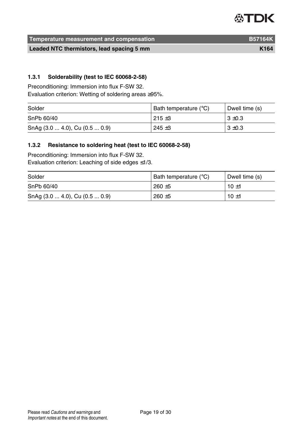# **ATDK**

**Temperature measurement and compensation B57164K** B57164K

**Leaded NTC thermistors, lead spacing 5 mm K164** matrices and the K164

#### **1.3.1 Solderability (test to IEC 60068-2-58)**

Preconditioning: Immersion into flux F-SW 32.

Evaluation criterion: Wetting of soldering areas ≥95%.

| Solder                         | Bath temperature (°C) | Dwell time (s) |
|--------------------------------|-----------------------|----------------|
| SnPb 60/40                     | $215 + 3$             | $3 \pm 0.3$    |
| SnAg (3.0  4.0), Cu (0.5  0.9) | $245 + 3$             | $3 \pm 0.3$    |

#### **1.3.2 Resistance to soldering heat (test to IEC 60068-2-58)**

Preconditioning: Immersion into flux F-SW 32. Evaluation criterion: Leaching of side edges ≤1/3.

| Solder                                        | Bath temperature (°C) | Dwell time (s) |
|-----------------------------------------------|-----------------------|----------------|
| SnPb 60/40                                    | $260 + 5$             | $10 + 1$       |
| SnAg $(3.0 \dots 4.0)$ , Cu $(0.5 \dots 0.9)$ | $260 + 5$             | $10 + 1$       |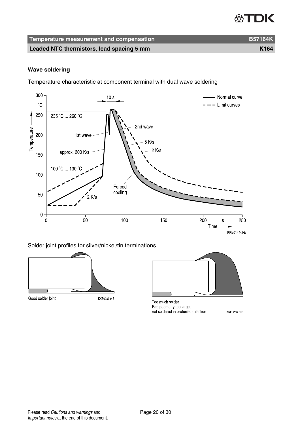### **公丁口K**

| Temperature measurement and compensation | <b>B57164K</b> |
|------------------------------------------|----------------|
|                                          |                |

**Leaded NTC thermistors, lead spacing 5 mm K164** 

#### **Wave soldering**

Temperature characteristic at component terminal with dual wave soldering



#### Solder joint profiles for silver/nickel/tin terminations



Too much solder Pad geometry too large, not soldered in preferred direction

KKE0288 H E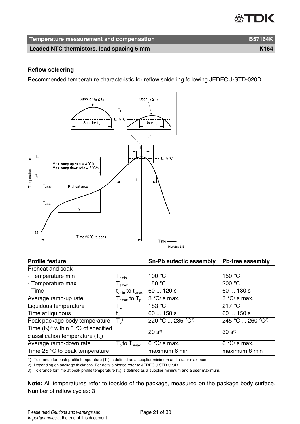| Temperature measurement and compensation  | <b>B57164K</b> |
|-------------------------------------------|----------------|
| Leaded NTC thermistors, lead spacing 5 mm | K164           |

#### **Reflow soldering**

Recommended temperature characteristic for reflow soldering following JEDEC J-STD-020D



| <b>Profile feature</b>                  |                                                | Sn-Pb eutectic assembly      | Pb-free assembly             |
|-----------------------------------------|------------------------------------------------|------------------------------|------------------------------|
| Preheat and soak                        |                                                |                              |                              |
| - Temperature min                       | ${\mathsf T}_{\sf smin}$                       | 100 $\degree$ C              | 150 °C                       |
| - Temperature max                       | $\mathsf{I}_{\text{smax}}$                     | 150 $\degree$ C              | 200 °C                       |
| - Time                                  | $\rm t_{\rm smin}$ to $\rm t_{\rm smax}$       | 60  120 s                    | 60180s                       |
| Average ramp-up rate                    | ${\sf T}_{\sf smax}$ to ${\sf T}_{\sf p}$ .    | $3 °C/s$ max.                | $3^{\circ}$ C/s max.         |
| Liquidous temperature                   | Ιı.                                            | 183 °C                       | 217 °C                       |
| Time at liquidous                       | Ţ.                                             | 60150s                       | 60150s                       |
| Peak package body temperature           | $T_{p}^{(1)}$                                  | 220 °C  235 °C <sup>2)</sup> | 245 °C  260 °C <sup>2)</sup> |
| Time $(t_P)^3$ within 5 °C of specified |                                                | $20 s^{3}$                   | $30 s^{3}$                   |
| classification temperature $(T_c)$      |                                                |                              |                              |
| Average ramp-down rate                  | $\overline{T}_{\text{p}}$ to $T_{\text{smax}}$ | $6°C/s$ max.                 | $6 °C/s$ max.                |
| Time 25 °C to peak temperature          |                                                | maximum 6 min                | maximum 8 min                |

1) Tolerance for peak profile temperature  $(T_P)$  is defined as a supplier minimum and a user maximum.

2) Depending on package thickness. For details please refer to JEDEC J-STD-020D.

3) Tolerance for time at peak profile temperature  $(t_P)$  is defined as a supplier minimum and a user maximum.

**Note:** All temperatures refer to topside of the package, measured on the package body surface. Number of reflow cycles: 3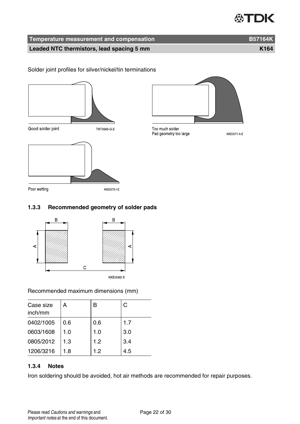# 怂TDK

**Temperature measurement and compensation B57164K**

**Leaded NTC thermistors, lead spacing 5 mm K164** 

Solder joint profiles for silver/nickel/tin terminations





Too much solder Pad geometry too large

**KKE0071 A E** 

Poor wetting KKE0072 | E

#### **1.3.3 Recommended geometry of solder pads**



#### Recommended maximum dimensions (mm)

| Case size<br>inch/mm | А   | B   | C   |
|----------------------|-----|-----|-----|
| 0402/1005            | 0.6 | 0.6 | 1.7 |
| 0603/1608            | 1.0 | 1.0 | 3.0 |
| 0805/2012            | 1.3 | 1.2 | 3.4 |
| 1206/3216            | 1.8 | 1.2 | 4.5 |

#### **1.3.4 Notes**

Iron soldering should be avoided, hot air methods are recommended for repair purposes.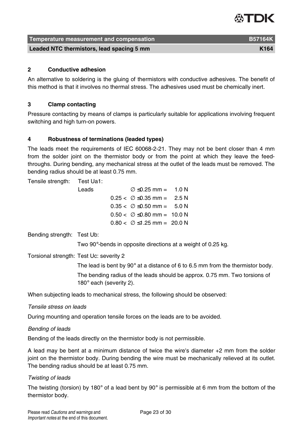### ASTIDIK

| Temperature measurement and compensation  | <b>B57164K</b> |
|-------------------------------------------|----------------|
| Leaded NTC thermistors, lead spacing 5 mm | K164           |

#### **2 Conductive adhesion**

An alternative to soldering is the gluing of thermistors with conductive adhesives. The benefit of this method is that it involves no thermal stress. The adhesives used must be chemically inert.

#### **3 Clamp contacting**

Pressure contacting by means of clamps is particularly suitable for applications involving frequent switching and high turn-on powers.

#### **4 Robustness of terminations (leaded types)**

The leads meet the requirements of IEC 60068-2-21. They may not be bent closer than 4 mm from the solder joint on the thermistor body or from the point at which they leave the feedthroughs. During bending, any mechanical stress at the outlet of the leads must be removed. The bending radius should be at least 0.75 mm.

Tensile strength: Test Ua1:

| Leads | $\varnothing$ $\leq$ 0.25 mm = 1.0 N    |  |
|-------|-----------------------------------------|--|
|       | $0.25 < \emptyset \leq 0.35$ mm = 2.5 N |  |
|       | $0.35 < \emptyset \leq 0.50$ mm = 5.0 N |  |
|       | $0.50 < \emptyset \le 0.80$ mm = 10.0 N |  |
|       | $0.80 < \emptyset \le 1.25$ mm = 20.0 N |  |

Bending strength: Test Ub:

Two 90°-bends in opposite directions at a weight of 0.25 kg.

Torsional strength: Test Uc: severity 2

The lead is bent by 90° at a distance of 6 to 6.5 mm from the thermistor body. The bending radius of the leads should be approx. 0.75 mm. Two torsions of 180° each (severity 2).

When subjecting leads to mechanical stress, the following should be observed:

Tensile stress on leads

During mounting and operation tensile forces on the leads are to be avoided.

Bending of leads

Bending of the leads directly on the thermistor body is not permissible.

A lead may be bent at a minimum distance of twice the wire's diameter +2 mm from the solder joint on the thermistor body. During bending the wire must be mechanically relieved at its outlet. The bending radius should be at least 0.75 mm.

#### Twisting of leads

The twisting (torsion) by 180 $^{\circ}$  of a lead bent by 90 $^{\circ}$  is permissible at 6 mm from the bottom of the thermistor body.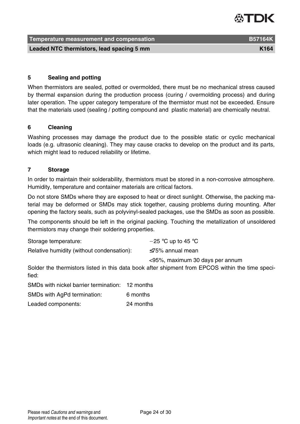#### **Temperature measurement and compensation B57164K Leaded NTC thermistors, lead spacing 5 mm K164** material control with the K164

#### **5 Sealing and potting**

When thermistors are sealed, potted or overmolded, there must be no mechanical stress caused by thermal expansion during the production process (curing / overmolding process) and during later operation. The upper category temperature of the thermistor must not be exceeded. Ensure that the materials used (sealing / potting compound and plastic material) are chemically neutral.

#### **6 Cleaning**

Washing processes may damage the product due to the possible static or cyclic mechanical loads (e.g. ultrasonic cleaning). They may cause cracks to develop on the product and its parts, which might lead to reduced reliability or lifetime.

#### **7 Storage**

In order to maintain their solderability, thermistors must be stored in a non-corrosive atmosphere. Humidity, temperature and container materials are critical factors.

Do not store SMDs where they are exposed to heat or direct sunlight. Otherwise, the packing material may be deformed or SMDs may stick together, causing problems during mounting. After opening the factory seals, such as polyvinyl-sealed packages, use the SMDs as soon as possible.

The components should be left in the original packing. Touching the metallization of unsoldered thermistors may change their soldering properties.

| Storage temperature:                      | $-25$ °C up to 45 °C            |
|-------------------------------------------|---------------------------------|
| Relative humidity (without condensation): | $\leq$ 75% annual mean          |
|                                           | <95%, maximum 30 days per annum |

Solder the thermistors listed in this data book after shipment from EPCOS within the time specified:

SMDs with nickel barrier termination: 12 months

SMDs with AgPd termination: 6 months

Leaded components: 24 months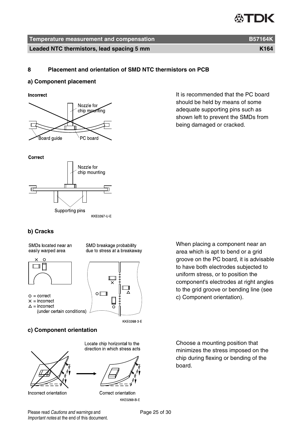#### **Temperature measurement and compensation B57164K**

**Leaded NTC thermistors, lead spacing 5 mm K164** matrices and the K164

#### **8 Placement and orientation of SMD NTC thermistors on PCB**

#### **a) Component placement**

Incorrect



It is recommended that the PC board should be held by means of some adequate supporting pins such as shown left to prevent the SMDs from being damaged or cracked.





#### **b) Cracks**

SMDs located near an easily warped area

SMD breakage probability due to stress at a breakaway



- $Q =$  correct
- $x = incorrect$
- $\triangle$  = incorrect
	- (under certain conditions)



KKE0268-3-E

#### **c) Component orientation**



Incorrect orientation

Locate chip horizontal to the direction in which stress acts



Correct orientation KKE0269 B E

When placing a component near an area which is apt to bend or a grid groove on the PC board, it is advisable to have both electrodes subjected to uniform stress, or to position the component's electrodes at right angles to the grid groove or bending line (see c) Component orientation).

Choose a mounting position that minimizes the stress imposed on the chip during flexing or bending of the board.

Please read Cautions and warnings and <br>
Page 25 of 30 Important notes at the end of this document.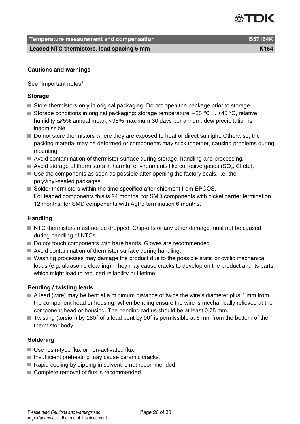**Temperature measurement and compensation B57164K**

**Leaded NTC thermistors, lead spacing 5 mm K164** matrices and the K164

#### **Cautions and warnings**

See "Important notes".

#### **Storage**

- Store thermistors only in original packaging. Do not open the package prior to storage.
- Storage conditions in original packaging: storage temperature  $-25$  °C ... +45 °C, relative humidity ≤75% annual mean, <95% maximum 30 days per annum, dew precipitation is inadmissible.
- Do not store thermistors where they are exposed to heat or direct sunlight. Otherwise, the packing material may be deformed or components may stick together, causing problems during mounting.
- Avoid contamination of thermistor surface during storage, handling and processing.
- Avoid storage of thermistors in harmful environments like corrosive gases (SO $_{\mathrm{x}}$ , CI etc).
- Use the components as soon as possible after opening the factory seals, i.e. the polyvinyl-sealed packages.
- Solder thermistors within the time specified after shipment from EPCOS. For leaded components this is 24 months, for SMD components with nickel barrier termination 12 months, for SMD components with AgPd termination 6 months.

#### **Handling**

- NTC thermistors must not be dropped. Chip-offs or any other damage must not be caused during handling of NTCs.
- Do not touch components with bare hands. Gloves are recommended.
- Avoid contamination of thermistor surface during handling.
- Washing processes may damage the product due to the possible static or cyclic mechanical loads (e.g. ultrasonic cleaning). They may cause cracks to develop on the product and its parts, which might lead to reduced reliability or lifetime.

#### **Bending / twisting leads**

- $\blacksquare$  A lead (wire) may be bent at a minimum distance of twice the wire's diameter plus 4 mm from the component head or housing. When bending ensure the wire is mechanically relieved at the component head or housing. The bending radius should be at least 0.75 mm.
- Twisting (torsion) by 180 $^{\circ}$  of a lead bent by 90 $^{\circ}$  is permissible at 6 mm from the bottom of the thermistor body.

#### **Soldering**

- Use resin-type flux or non-activated flux.
- $\blacksquare$  Insufficient preheating may cause ceramic cracks.
- Rapid cooling by dipping in solvent is not recommended.
- Complete removal of flux is recommended.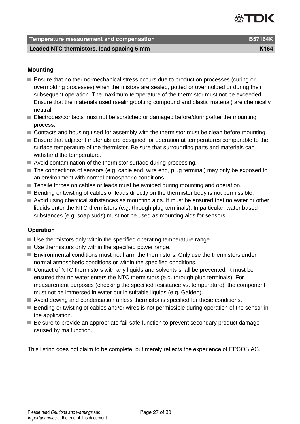### **Temperature measurement and compensation B57164K** B57164K

**Leaded NTC thermistors, lead spacing 5 mm K164** matrices and the K164

#### **Mounting**

- Ensure that no thermo-mechanical stress occurs due to production processes (curing or overmolding processes) when thermistors are sealed, potted or overmolded or during their subsequent operation. The maximum temperature of the thermistor must not be exceeded. Ensure that the materials used (sealing/potting compound and plastic material) are chemically neutral.
- Electrodes/contacts must not be scratched or damaged before/during/after the mounting process.
- Contacts and housing used for assembly with the thermistor must be clean before mounting.
- Ensure that adjacent materials are designed for operation at temperatures comparable to the surface temperature of the thermistor. Be sure that surrounding parts and materials can withstand the temperature.
- Avoid contamination of the thermistor surface during processing.
- The connections of sensors (e.g. cable end, wire end, plug terminal) may only be exposed to an environment with normal atmospheric conditions.
- Tensile forces on cables or leads must be avoided during mounting and operation.
- **Bending or twisting of cables or leads directly on the thermistor body is not permissible.**
- Avoid using chemical substances as mounting aids. It must be ensured that no water or other liquids enter the NTC thermistors (e.g. through plug terminals). In particular, water based substances (e.g. soap suds) must not be used as mounting aids for sensors.

#### **Operation**

- Use thermistors only within the specified operating temperature range.
- Use thermistors only within the specified power range.
- Environmental conditions must not harm the thermistors. Only use the thermistors under normal atmospheric conditions or within the specified conditions.
- Contact of NTC thermistors with any liquids and solvents shall be prevented. It must be ensured that no water enters the NTC thermistors (e.g. through plug terminals). For measurement purposes (checking the specified resistance vs. temperature), the component must not be immersed in water but in suitable liquids (e.g. Galden).
- Avoid dewing and condensation unless thermistor is specified for these conditions.
- Bending or twisting of cables and/or wires is not permissible during operation of the sensor in the application.
- Be sure to provide an appropriate fail-safe function to prevent secondary product damage caused by malfunction.

This listing does not claim to be complete, but merely reflects the experience of EPCOS AG.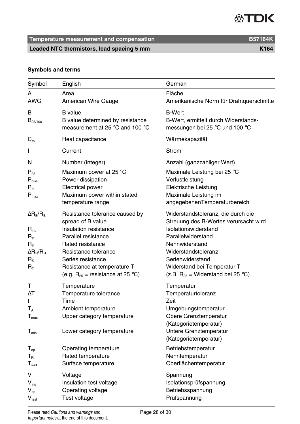**Temperature measurement and compensation B57164K** B57164K

Leaded NTC thermistors, lead spacing 5 mm

### **Symbols and terms**

| Symbol                                                                                                                | English                                                                                                                                                                                                                                      | German                                                                                                                                                                                                                                                          |
|-----------------------------------------------------------------------------------------------------------------------|----------------------------------------------------------------------------------------------------------------------------------------------------------------------------------------------------------------------------------------------|-----------------------------------------------------------------------------------------------------------------------------------------------------------------------------------------------------------------------------------------------------------------|
| А<br><b>AWG</b>                                                                                                       | Area<br>American Wire Gauge                                                                                                                                                                                                                  | Fläche<br>Amerikanische Norm für Drahtquerschnitte                                                                                                                                                                                                              |
| в<br>$B_{25/100}$                                                                                                     | <b>B</b> value<br>B value determined by resistance<br>measurement at 25 °C and 100 °C                                                                                                                                                        | <b>B-Wert</b><br>B-Wert, ermittelt durch Widerstands-<br>messungen bei 25 °C und 100 °C                                                                                                                                                                         |
| $C_{th}$                                                                                                              | Heat capacitance                                                                                                                                                                                                                             | Wärmekapazität                                                                                                                                                                                                                                                  |
| L                                                                                                                     | Current                                                                                                                                                                                                                                      | Strom                                                                                                                                                                                                                                                           |
| N                                                                                                                     | Number (integer)                                                                                                                                                                                                                             | Anzahl (ganzzahliger Wert)                                                                                                                                                                                                                                      |
| $P_{25}$<br>$P_{\text{diss}}$<br>$P_{el}$<br>$P_{\text{max}}$                                                         | Maximum power at 25 °C<br>Power dissipation<br>Electrical power<br>Maximum power within stated<br>temperature range                                                                                                                          | Maximale Leistung bei 25 °C<br>Verlustleistung<br>Elektrische Leistung<br>Maximale Leistung im<br>angegebenenTemperaturbereich                                                                                                                                  |
| $\Delta$ R <sub>B</sub> /R <sub>B</sub><br>$R_{ins}$<br>Rь<br>$R_{\rm R}$<br>$\Delta R_R/R_R$<br>$R_{\rm S}$<br>$R_T$ | Resistance tolerance caused by<br>spread of B value<br>Insulation resistance<br>Parallel resistance<br>Rated resistance<br>Resistance tolerance<br>Series resistance<br>Resistance at temperature T<br>(e.g. $R_{25}$ = resistance at 25 °C) | Widerstandstoleranz, die durch die<br>Streuung des B-Wertes verursacht wird<br>Isolationswiderstand<br>Parallelwiderstand<br>Nennwiderstand<br>Widerstandstoleranz<br>Serienwiderstand<br>Widerstand bei Temperatur T<br>(z.B. $R_{25}$ = Widerstand bei 25 °C) |
| т<br>ΔT<br>t<br>$T_A$<br>$T_{\text{max}}$<br>$T_{min}$                                                                | Temperature<br>Temperature tolerance<br>Time<br>Ambient temperature<br>Upper category temperature<br>Lower category temperature                                                                                                              | Temperatur<br>Temperaturtoleranz<br>Zeit<br>Umgebungstemperatur<br>Obere Grenztemperatur<br>(Kategorietemperatur)<br>Untere Grenztemperatur<br>(Kategorietemperatur)                                                                                            |
| $T_{op}$<br>$T_{\scriptscriptstyle\rm R}$<br>$\mathsf{T}_{\mathsf{surf}}$                                             | Operating temperature<br>Rated temperature<br>Surface temperature                                                                                                                                                                            | Betriebstemperatur<br>Nenntemperatur<br>Oberflächentemperatur                                                                                                                                                                                                   |
| v<br>$V_{ins}$<br>$V_{op}$<br>$V_{test}$                                                                              | Voltage<br>Insulation test voltage<br>Operating voltage<br>Test voltage                                                                                                                                                                      | Spannung<br>Isolationsprüfspannung<br>Betriebsspannung<br>Prüfspannung                                                                                                                                                                                          |